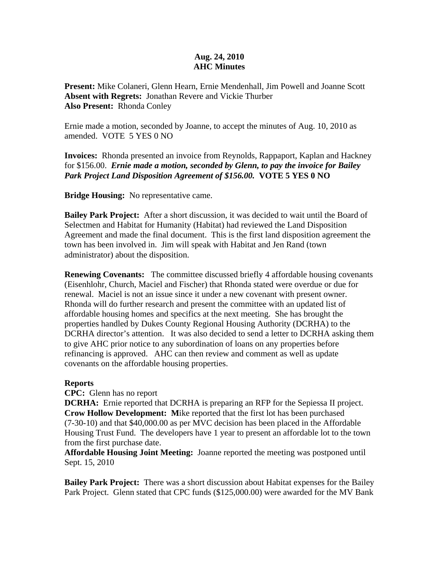## **Aug. 24, 2010 AHC Minutes**

**Present:** Mike Colaneri, Glenn Hearn, Ernie Mendenhall, Jim Powell and Joanne Scott **Absent with Regrets:** Jonathan Revere and Vickie Thurber **Also Present:** Rhonda Conley

Ernie made a motion, seconded by Joanne, to accept the minutes of Aug. 10, 2010 as amended. VOTE 5 YES 0 NO

**Invoices:** Rhonda presented an invoice from Reynolds, Rappaport, Kaplan and Hackney for \$156.00. *Ernie made a motion, seconded by Glenn, to pay the invoice for Bailey Park Project Land Disposition Agreement of \$156.00.* **VOTE 5 YES 0 NO** 

**Bridge Housing:** No representative came.

**Bailey Park Project:** After a short discussion, it was decided to wait until the Board of Selectmen and Habitat for Humanity (Habitat) had reviewed the Land Disposition Agreement and made the final document. This is the first land disposition agreement the town has been involved in. Jim will speak with Habitat and Jen Rand (town administrator) about the disposition.

**Renewing Covenants:** The committee discussed briefly 4 affordable housing covenants (Eisenhlohr, Church, Maciel and Fischer) that Rhonda stated were overdue or due for renewal. Maciel is not an issue since it under a new covenant with present owner. Rhonda will do further research and present the committee with an updated list of affordable housing homes and specifics at the next meeting. She has brought the properties handled by Dukes County Regional Housing Authority (DCRHA) to the DCRHA director's attention. It was also decided to send a letter to DCRHA asking them to give AHC prior notice to any subordination of loans on any properties before refinancing is approved. AHC can then review and comment as well as update covenants on the affordable housing properties.

## **Reports**

**CPC:** Glenn has no report

**DCRHA:** Ernie reported that DCRHA is preparing an RFP for the Sepiessa II project. **Crow Hollow Development: M**ike reported that the first lot has been purchased (7-30-10) and that \$40,000.00 as per MVC decision has been placed in the Affordable Housing Trust Fund. The developers have 1 year to present an affordable lot to the town from the first purchase date.

**Affordable Housing Joint Meeting:** Joanne reported the meeting was postponed until Sept. 15, 2010

**Bailey Park Project:** There was a short discussion about Habitat expenses for the Bailey Park Project. Glenn stated that CPC funds (\$125,000.00) were awarded for the MV Bank